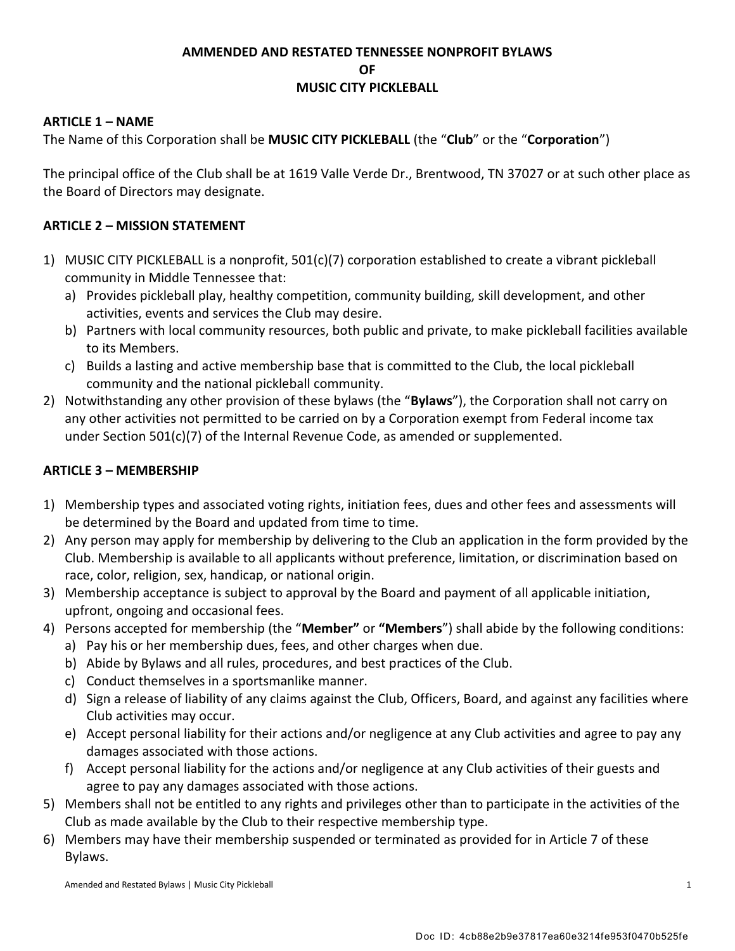#### **AMMENDED AND RESTATED TENNESSEE NONPROFIT BYLAWS OF MUSIC CITY PICKLEBALL**

#### **ARTICLE 1 – NAME**

The Name of this Corporation shall be **MUSIC CITY PICKLEBALL** (the "**Club**" or the "**Corporation**")

The principal office of the Club shall be at 1619 Valle Verde Dr., Brentwood, TN 37027 or at such other place as the Board of Directors may designate.

#### **ARTICLE 2 – MISSION STATEMENT**

- 1) MUSIC CITY PICKLEBALL is a nonprofit, 501(c)(7) corporation established to create a vibrant pickleball community in Middle Tennessee that:
	- a) Provides pickleball play, healthy competition, community building, skill development, and other activities, events and services the Club may desire.
	- b) Partners with local community resources, both public and private, to make pickleball facilities available to its Members.
	- c) Builds a lasting and active membership base that is committed to the Club, the local pickleball community and the national pickleball community.
- 2) Notwithstanding any other provision of these bylaws (the "**Bylaws**"), the Corporation shall not carry on any other activities not permitted to be carried on by a Corporation exempt from Federal income tax under Section 501(c)(7) of the Internal Revenue Code, as amended or supplemented.

#### **ARTICLE 3 – MEMBERSHIP**

- 1) Membership types and associated voting rights, initiation fees, dues and other fees and assessments will be determined by the Board and updated from time to time.
- 2) Any person may apply for membership by delivering to the Club an application in the form provided by the Club. Membership is available to all applicants without preference, limitation, or discrimination based on race, color, religion, sex, handicap, or national origin.
- 3) Membership acceptance is subject to approval by the Board and payment of all applicable initiation, upfront, ongoing and occasional fees.
- 4) Persons accepted for membership (the "**Member"** or **"Members**") shall abide by the following conditions:
	- a) Pay his or her membership dues, fees, and other charges when due.
	- b) Abide by Bylaws and all rules, procedures, and best practices of the Club.
	- c) Conduct themselves in a sportsmanlike manner.
	- d) Sign a release of liability of any claims against the Club, Officers, Board, and against any facilities where Club activities may occur.
	- e) Accept personal liability for their actions and/or negligence at any Club activities and agree to pay any damages associated with those actions.
	- f) Accept personal liability for the actions and/or negligence at any Club activities of their guests and agree to pay any damages associated with those actions.
- 5) Members shall not be entitled to any rights and privileges other than to participate in the activities of the Club as made available by the Club to their respective membership type.
- 6) Members may have their membership suspended or terminated as provided for in Article 7 of these Bylaws.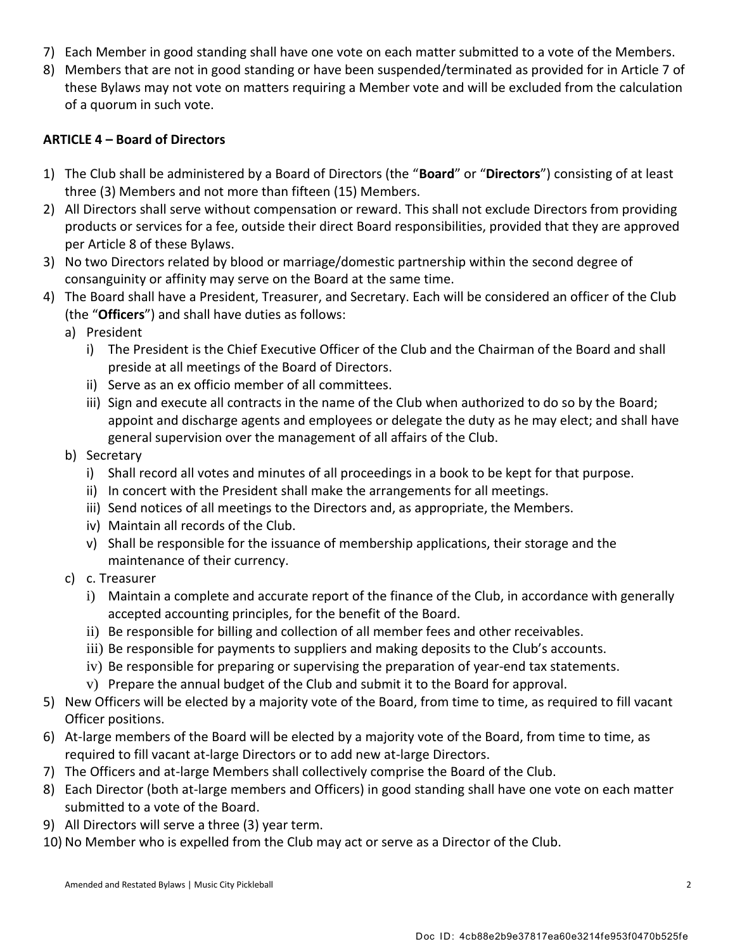- 7) Each Member in good standing shall have one vote on each matter submitted to a vote of the Members.
- 8) Members that are not in good standing or have been suspended/terminated as provided for in Article 7 of these Bylaws may not vote on matters requiring a Member vote and will be excluded from the calculation of a quorum in such vote.

## **ARTICLE 4 – Board of Directors**

- 1) The Club shall be administered by a Board of Directors (the "**Board**" or "**Directors**") consisting of at least three (3) Members and not more than fifteen (15) Members.
- 2) All Directors shall serve without compensation or reward. This shall not exclude Directors from providing products or services for a fee, outside their direct Board responsibilities, provided that they are approved per Article 8 of these Bylaws.
- 3) No two Directors related by blood or marriage/domestic partnership within the second degree of consanguinity or affinity may serve on the Board at the same time.
- 4) The Board shall have a President, Treasurer, and Secretary. Each will be considered an officer of the Club (the "**Officers**") and shall have duties as follows:
	- a) President
		- i) The President is the Chief Executive Officer of the Club and the Chairman of the Board and shall preside at all meetings of the Board of Directors.
		- ii) Serve as an ex officio member of all committees.
		- iii) Sign and execute all contracts in the name of the Club when authorized to do so by the Board; appoint and discharge agents and employees or delegate the duty as he may elect; and shall have general supervision over the management of all affairs of the Club.
	- b) Secretary
		- i) Shall record all votes and minutes of all proceedings in a book to be kept for that purpose.
		- ii) In concert with the President shall make the arrangements for all meetings.
		- iii) Send notices of all meetings to the Directors and, as appropriate, the Members.
		- iv) Maintain all records of the Club.
		- v) Shall be responsible for the issuance of membership applications, their storage and the maintenance of their currency.
	- c) c. Treasurer
		- i) Maintain a complete and accurate report of the finance of the Club, in accordance with generally accepted accounting principles, for the benefit of the Board.
		- ii) Be responsible for billing and collection of all member fees and other receivables.
		- iii) Be responsible for payments to suppliers and making deposits to the Club's accounts.
		- iv) Be responsible for preparing or supervising the preparation of year-end tax statements.
		- v) Prepare the annual budget of the Club and submit it to the Board for approval.
- 5) New Officers will be elected by a majority vote of the Board, from time to time, as required to fill vacant Officer positions.
- 6) At-large members of the Board will be elected by a majority vote of the Board, from time to time, as required to fill vacant at-large Directors or to add new at-large Directors.
- 7) The Officers and at-large Members shall collectively comprise the Board of the Club.
- 8) Each Director (both at-large members and Officers) in good standing shall have one vote on each matter submitted to a vote of the Board.
- 9) All Directors will serve a three (3) year term.
- 10) No Member who is expelled from the Club may act or serve as a Director of the Club.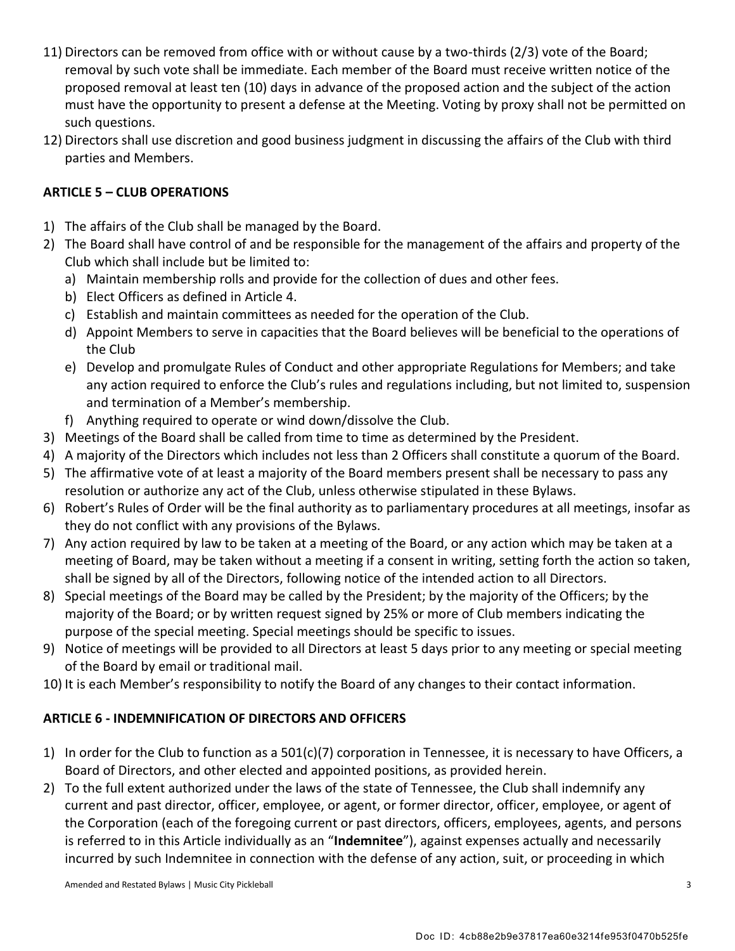- 11) Directors can be removed from office with or without cause by a two-thirds (2/3) vote of the Board; removal by such vote shall be immediate. Each member of the Board must receive written notice of the proposed removal at least ten (10) days in advance of the proposed action and the subject of the action must have the opportunity to present a defense at the Meeting. Voting by proxy shall not be permitted on such questions.
- 12) Directors shall use discretion and good business judgment in discussing the affairs of the Club with third parties and Members.

#### **ARTICLE 5 – CLUB OPERATIONS**

- 1) The affairs of the Club shall be managed by the Board.
- 2) The Board shall have control of and be responsible for the management of the affairs and property of the Club which shall include but be limited to:
	- a) Maintain membership rolls and provide for the collection of dues and other fees.
	- b) Elect Officers as defined in Article 4.
	- c) Establish and maintain committees as needed for the operation of the Club.
	- d) Appoint Members to serve in capacities that the Board believes will be beneficial to the operations of the Club
	- e) Develop and promulgate Rules of Conduct and other appropriate Regulations for Members; and take any action required to enforce the Club's rules and regulations including, but not limited to, suspension and termination of a Member's membership.
	- f) Anything required to operate or wind down/dissolve the Club.
- 3) Meetings of the Board shall be called from time to time as determined by the President.
- 4) A majority of the Directors which includes not less than 2 Officers shall constitute a quorum of the Board.
- 5) The affirmative vote of at least a majority of the Board members present shall be necessary to pass any resolution or authorize any act of the Club, unless otherwise stipulated in these Bylaws.
- 6) Robert's Rules of Order will be the final authority as to parliamentary procedures at all meetings, insofar as they do not conflict with any provisions of the Bylaws.
- 7) Any action required by law to be taken at a meeting of the Board, or any action which may be taken at a meeting of Board, may be taken without a meeting if a consent in writing, setting forth the action so taken, shall be signed by all of the Directors, following notice of the intended action to all Directors.
- 8) Special meetings of the Board may be called by the President; by the majority of the Officers; by the majority of the Board; or by written request signed by 25% or more of Club members indicating the purpose of the special meeting. Special meetings should be specific to issues.
- 9) Notice of meetings will be provided to all Directors at least 5 days prior to any meeting or special meeting of the Board by email or traditional mail.
- 10) It is each Member's responsibility to notify the Board of any changes to their contact information.

## **ARTICLE 6 - INDEMNIFICATION OF DIRECTORS AND OFFICERS**

- 1) In order for the Club to function as a 501(c)(7) corporation in Tennessee, it is necessary to have Officers, a Board of Directors, and other elected and appointed positions, as provided herein.
- 2) To the full extent authorized under the laws of the state of Tennessee, the Club shall indemnify any current and past director, officer, employee, or agent, or former director, officer, employee, or agent of the Corporation (each of the foregoing current or past directors, officers, employees, agents, and persons is referred to in this Article individually as an "**Indemnitee**"), against expenses actually and necessarily incurred by such Indemnitee in connection with the defense of any action, suit, or proceeding in which

Amended and Restated Bylaws | Music City Pickleball 3 3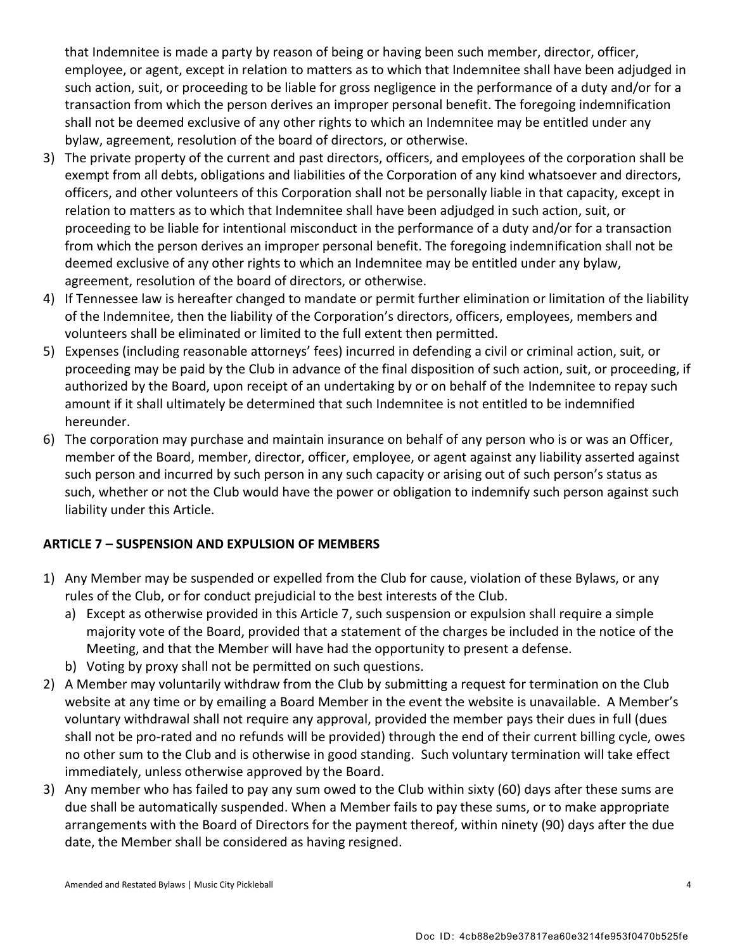that Indemnitee is made a party by reason of being or having been such member, director, officer, employee, or agent, except in relation to matters as to which that Indemnitee shall have been adjudged in such action, suit, or proceeding to be liable for gross negligence in the performance of a duty and/or for a transaction from which the person derives an improper personal benefit. The foregoing indemnification shall not be deemed exclusive of any other rights to which an Indemnitee may be entitled under any bylaw, agreement, resolution of the board of directors, or otherwise.

- 3) The private property of the current and past directors, officers, and employees of the corporation shall be exempt from all debts, obligations and liabilities of the Corporation of any kind whatsoever and directors, officers, and other volunteers of this Corporation shall not be personally liable in that capacity, except in relation to matters as to which that Indemnitee shall have been adjudged in such action, suit, or proceeding to be liable for intentional misconduct in the performance of a duty and/or for a transaction from which the person derives an improper personal benefit. The foregoing indemnification shall not be deemed exclusive of any other rights to which an Indemnitee may be entitled under any bylaw, agreement, resolution of the board of directors, or otherwise.
- 4) If Tennessee law is hereafter changed to mandate or permit further elimination or limitation of the liability of the Indemnitee, then the liability of the Corporation's directors, officers, employees, members and volunteers shall be eliminated or limited to the full extent then permitted.
- 5) Expenses (including reasonable attorneys' fees) incurred in defending a civil or criminal action, suit, or proceeding may be paid by the Club in advance of the final disposition of such action, suit, or proceeding, if authorized by the Board, upon receipt of an undertaking by or on behalf of the Indemnitee to repay such amount if it shall ultimately be determined that such Indemnitee is not entitled to be indemnified hereunder.
- 6) The corporation may purchase and maintain insurance on behalf of any person who is or was an Officer, member of the Board, member, director, officer, employee, or agent against any liability asserted against such person and incurred by such person in any such capacity or arising out of such person's status as such, whether or not the Club would have the power or obligation to indemnify such person against such liability under this Article.

## **ARTICLE 7 – SUSPENSION AND EXPULSION OF MEMBERS**

- 1) Any Member may be suspended or expelled from the Club for cause, violation of these Bylaws, or any rules of the Club, or for conduct prejudicial to the best interests of the Club.
	- a) Except as otherwise provided in this Article 7, such suspension or expulsion shall require a simple majority vote of the Board, provided that a statement of the charges be included in the notice of the Meeting, and that the Member will have had the opportunity to present a defense.
	- b) Voting by proxy shall not be permitted on such questions.
- 2) A Member may voluntarily withdraw from the Club by submitting a request for termination on the Club website at any time or by emailing a Board Member in the event the website is unavailable. A Member's voluntary withdrawal shall not require any approval, provided the member pays their dues in full (dues shall not be pro-rated and no refunds will be provided) through the end of their current billing cycle, owes no other sum to the Club and is otherwise in good standing. Such voluntary termination will take effect immediately, unless otherwise approved by the Board.
- 3) Any member who has failed to pay any sum owed to the Club within sixty (60) days after these sums are due shall be automatically suspended. When a Member fails to pay these sums, or to make appropriate arrangements with the Board of Directors for the payment thereof, within ninety (90) days after the due date, the Member shall be considered as having resigned.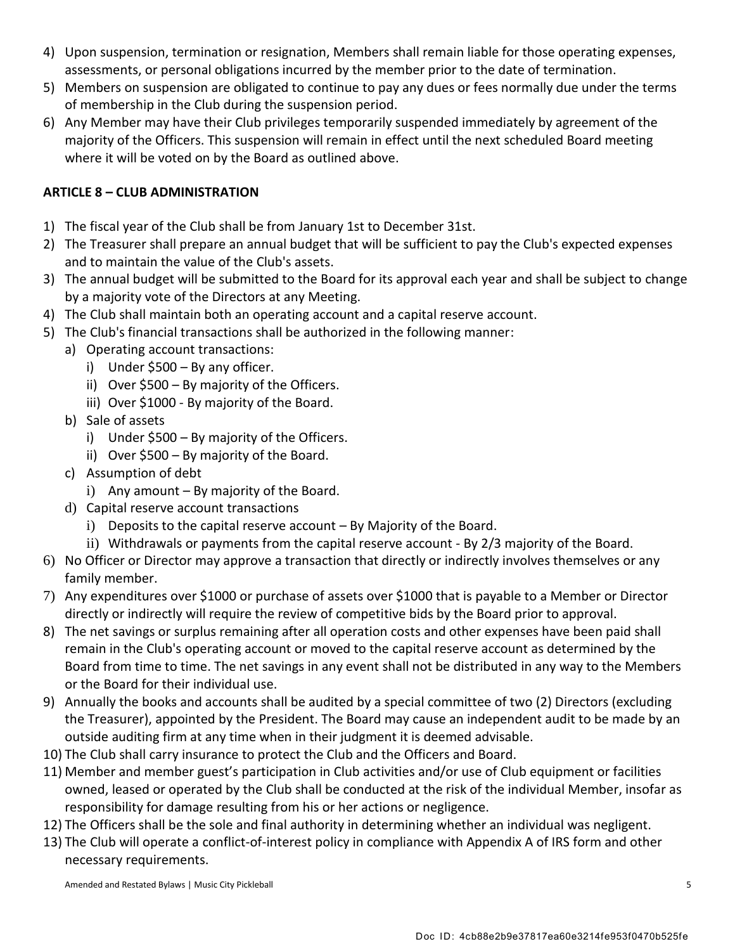- 4) Upon suspension, termination or resignation, Members shall remain liable for those operating expenses, assessments, or personal obligations incurred by the member prior to the date of termination.
- 5) Members on suspension are obligated to continue to pay any dues or fees normally due under the terms of membership in the Club during the suspension period.
- 6) Any Member may have their Club privileges temporarily suspended immediately by agreement of the majority of the Officers. This suspension will remain in effect until the next scheduled Board meeting where it will be voted on by the Board as outlined above.

## **ARTICLE 8 – CLUB ADMINISTRATION**

- 1) The fiscal year of the Club shall be from January 1st to December 31st.
- 2) The Treasurer shall prepare an annual budget that will be sufficient to pay the Club's expected expenses and to maintain the value of the Club's assets.
- 3) The annual budget will be submitted to the Board for its approval each year and shall be subject to change by a majority vote of the Directors at any Meeting.
- 4) The Club shall maintain both an operating account and a capital reserve account.
- 5) The Club's financial transactions shall be authorized in the following manner:
	- a) Operating account transactions:
		- i) Under \$500 By any officer.
		- ii) Over \$500 By majority of the Officers.
		- iii) Over \$1000 By majority of the Board.
	- b) Sale of assets
		- i) Under \$500 By majority of the Officers.
		- ii) Over \$500 By majority of the Board.
	- c) Assumption of debt
		- i) Any amount By majority of the Board.
	- d) Capital reserve account transactions
		- i) Deposits to the capital reserve account By Majority of the Board.
		- ii) Withdrawals or payments from the capital reserve account By 2/3 majority of the Board.
- 6) No Officer or Director may approve a transaction that directly or indirectly involves themselves or any family member.
- 7) Any expenditures over \$1000 or purchase of assets over \$1000 that is payable to a Member or Director directly or indirectly will require the review of competitive bids by the Board prior to approval.
- 8) The net savings or surplus remaining after all operation costs and other expenses have been paid shall remain in the Club's operating account or moved to the capital reserve account as determined by the Board from time to time. The net savings in any event shall not be distributed in any way to the Members or the Board for their individual use.
- 9) Annually the books and accounts shall be audited by a special committee of two (2) Directors (excluding the Treasurer), appointed by the President. The Board may cause an independent audit to be made by an outside auditing firm at any time when in their judgment it is deemed advisable.
- 10) The Club shall carry insurance to protect the Club and the Officers and Board.
- 11) Member and member guest's participation in Club activities and/or use of Club equipment or facilities owned, leased or operated by the Club shall be conducted at the risk of the individual Member, insofar as responsibility for damage resulting from his or her actions or negligence.
- 12) The Officers shall be the sole and final authority in determining whether an individual was negligent.
- 13) The Club will operate a conflict-of-interest policy in compliance with Appendix A of IRS form and other necessary requirements.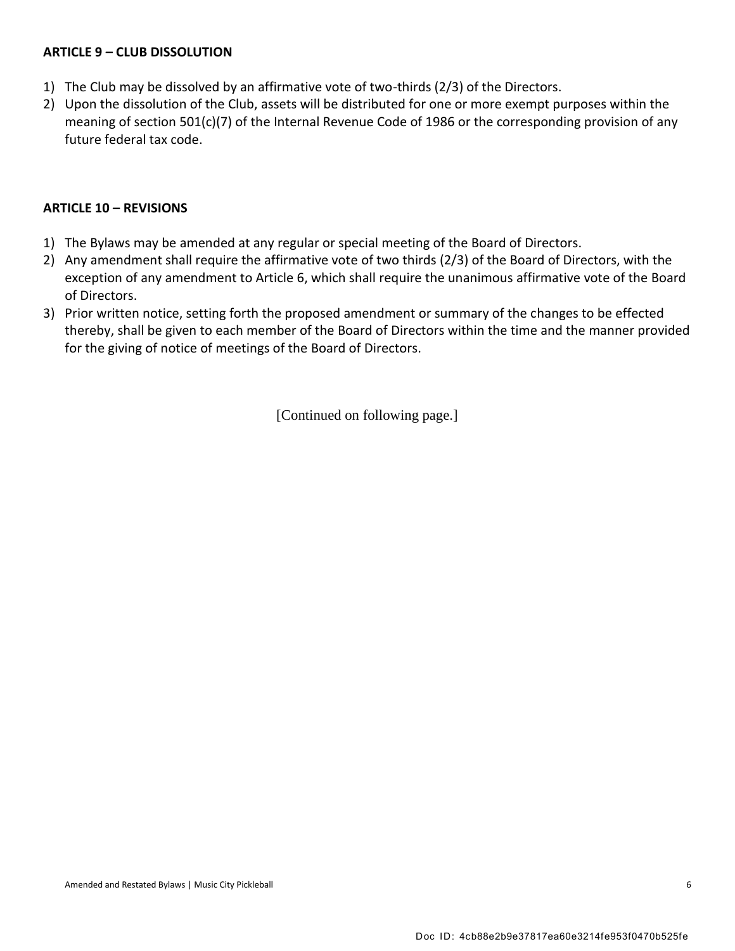#### **ARTICLE 9 – CLUB DISSOLUTION**

- 1) The Club may be dissolved by an affirmative vote of two-thirds (2/3) of the Directors.
- 2) Upon the dissolution of the Club, assets will be distributed for one or more exempt purposes within the meaning of section 501(c)(7) of the Internal Revenue Code of 1986 or the corresponding provision of any future federal tax code.

#### **ARTICLE 10 – REVISIONS**

- 1) The Bylaws may be amended at any regular or special meeting of the Board of Directors.
- 2) Any amendment shall require the affirmative vote of two thirds (2/3) of the Board of Directors, with the exception of any amendment to Article 6, which shall require the unanimous affirmative vote of the Board of Directors.
- 3) Prior written notice, setting forth the proposed amendment or summary of the changes to be effected thereby, shall be given to each member of the Board of Directors within the time and the manner provided for the giving of notice of meetings of the Board of Directors.

[Continued on following page.]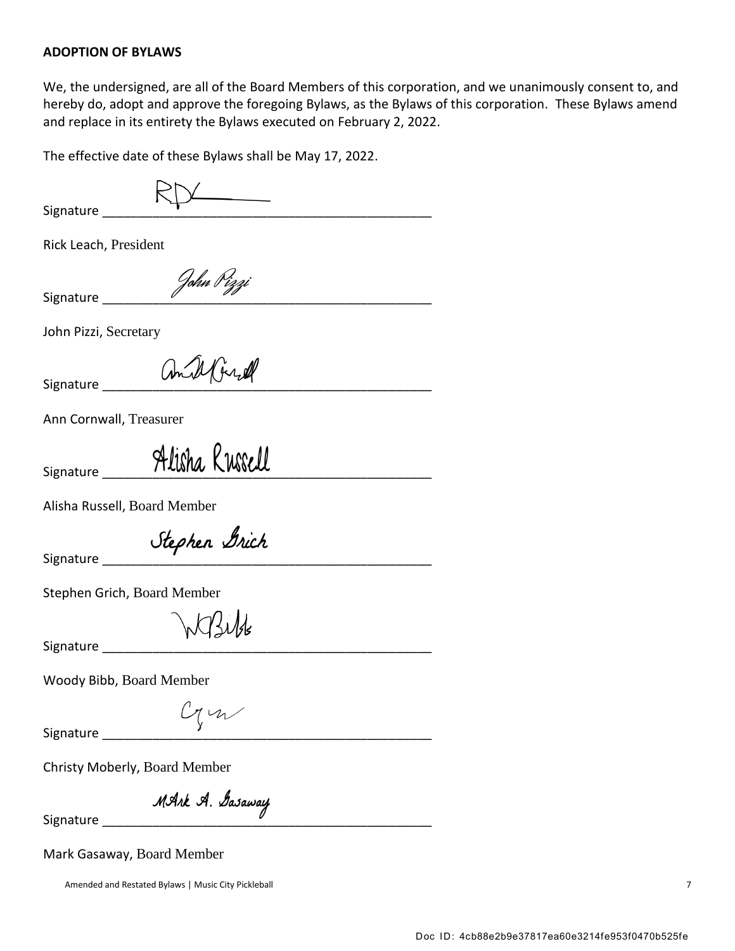#### **ADOPTION OF BYLAWS**

We, the undersigned, are all of the Board Members of this corporation, and we unanimously consent to, and hereby do, adopt and approve the foregoing Bylaws, as the Bylaws of this corporation. These Bylaws amend and replace in its entirety the Bylaws executed on February 2, 2022.

The effective date of these Bylaws shall be May 17, 2022.

| $\frac{1}{1}$<br>Signature                   |  |  |
|----------------------------------------------|--|--|
|                                              |  |  |
| Rick Leach, President                        |  |  |
| John Pizzi<br>Signature                      |  |  |
| John Pizzi, Secretary                        |  |  |
| amill fired<br>Signature                     |  |  |
| Ann Cornwall, Treasurer                      |  |  |
| Alisha Russell<br>Signature                  |  |  |
| Alisha Russell, Board Member                 |  |  |
| Stephen Brich<br>Signature _______           |  |  |
| Stephen Grich, Board Member                  |  |  |
| Signature Signature                          |  |  |
| Woody Bibb, Board Member                     |  |  |
| Cym<br>Signature                             |  |  |
| Christy Moberly, Board Member                |  |  |
| MArk A. Gasaway<br>Signature _______________ |  |  |

Mark Gasaway, Board Member

Amended and Restated Bylaws | Music City Pickleball 7 7 American control of the Security Pickleball 7 7 Amended and Restated Bylaws | Music City Pickleball 7 American control of the Security Pickleball 7 American control o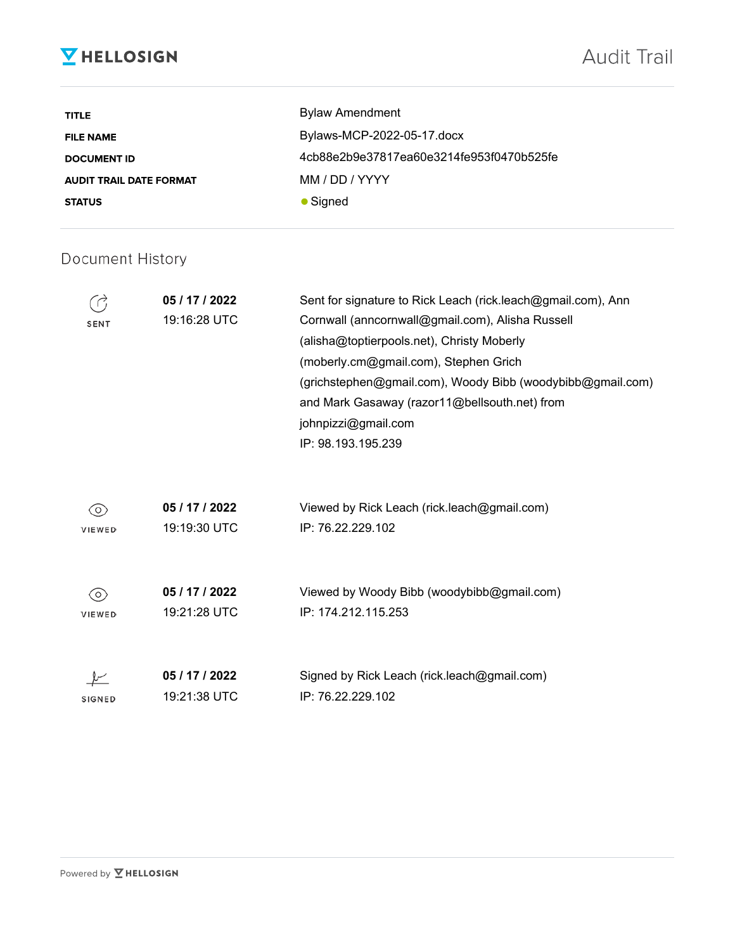# **V** HELLOSIGN

| <b>TITLE</b>                   | <b>Bylaw Amendment</b>                   |
|--------------------------------|------------------------------------------|
| <b>FILE NAME</b>               | Bylaws-MCP-2022-05-17.docx               |
| <b>DOCUMENT ID</b>             | 4cb88e2b9e37817ea60e3214fe953f0470b525fe |
| <b>AUDIT TRAIL DATE FORMAT</b> | MM / DD / YYYY                           |
| <b>STATUS</b>                  | • Signed                                 |

# Document History

| SENT          | 05 / 17 / 2022<br>19:16:28 UTC | Sent for signature to Rick Leach (rick.leach@gmail.com), Ann<br>Cornwall (anncornwall@gmail.com), Alisha Russell<br>(alisha@toptierpools.net), Christy Moberly<br>(moberly.cm@gmail.com), Stephen Grich<br>(grichstephen@gmail.com), Woody Bibb (woodybibb@gmail.com)<br>and Mark Gasaway (razor11@bellsouth.net) from<br>johnpizzi@gmail.com<br>IP: 98.193.195.239 |
|---------------|--------------------------------|---------------------------------------------------------------------------------------------------------------------------------------------------------------------------------------------------------------------------------------------------------------------------------------------------------------------------------------------------------------------|
| 0)            | 05 / 17 / 2022                 | Viewed by Rick Leach (rick.leach@gmail.com)                                                                                                                                                                                                                                                                                                                         |
| VIEWED        | 19:19:30 UTC                   | IP: 76.22.229.102                                                                                                                                                                                                                                                                                                                                                   |
| (O)           | 05 / 17 / 2022                 | Viewed by Woody Bibb (woodybibb@gmail.com)                                                                                                                                                                                                                                                                                                                          |
| VIEWED        | 19:21:28 UTC                   | IP: 174.212.115.253                                                                                                                                                                                                                                                                                                                                                 |
| <b>SIGNED</b> | 05 / 17 / 2022<br>19:21:38 UTC | Signed by Rick Leach (rick.leach@gmail.com)<br>IP: 76.22.229.102                                                                                                                                                                                                                                                                                                    |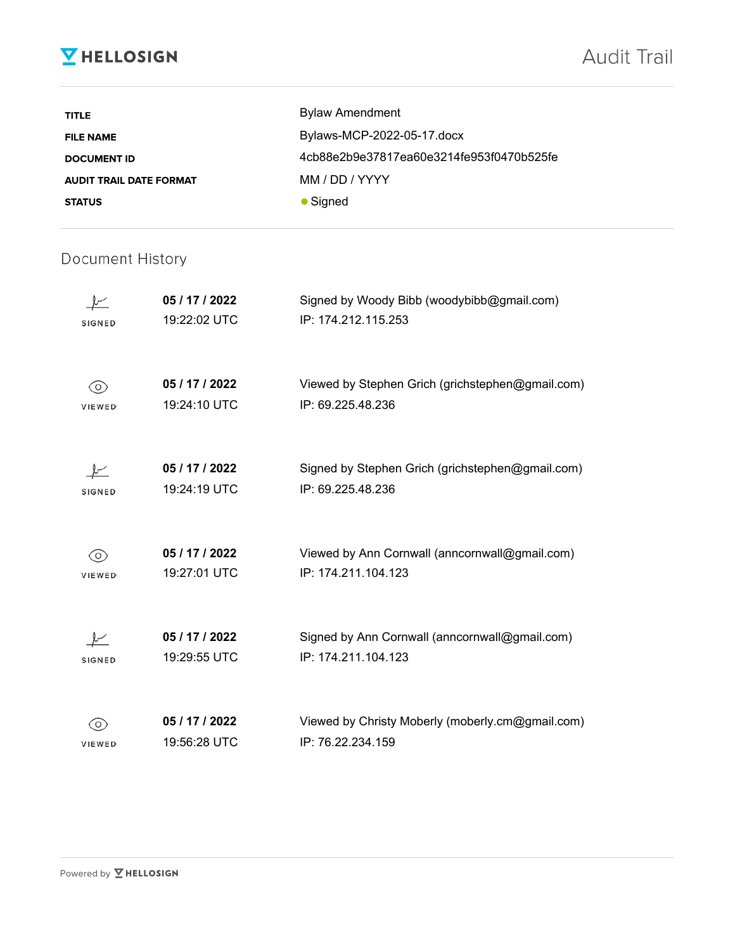# **V** HELLOSIGN

| <b>TITLE</b>                   | <b>Bylaw Amendment</b>                   |
|--------------------------------|------------------------------------------|
| <b>FILE NAME</b>               | Bylaws-MCP-2022-05-17.docx               |
| <b>DOCUMENT ID</b>             | 4cb88e2b9e37817ea60e3214fe953f0470b525fe |
| <b>AUDIT TRAIL DATE FORMAT</b> | MM / DD / YYYY                           |
| <b>STATUS</b>                  | $\bullet$ Signed                         |

# Document History

| <b>SIGNED</b>     | 05 / 17 / 2022<br>19:22:02 UTC | Signed by Woody Bibb (woodybibb@gmail.com)<br>IP: 174.212.115.253     |
|-------------------|--------------------------------|-----------------------------------------------------------------------|
| $\circ$<br>VIEWED | 05 / 17 / 2022<br>19:24:10 UTC | Viewed by Stephen Grich (grichstephen@gmail.com)<br>IP: 69.225.48.236 |
| SIGNED            | 05 / 17 / 2022<br>19:24:19 UTC | Signed by Stephen Grich (grichstephen@gmail.com)<br>IP: 69.225.48.236 |
| O)<br>VIEWED      | 05 / 17 / 2022<br>19:27:01 UTC | Viewed by Ann Cornwall (anncornwall@gmail.com)<br>IP: 174.211.104.123 |
| SIGNED            | 05 / 17 / 2022<br>19:29:55 UTC | Signed by Ann Cornwall (anncornwall@gmail.com)<br>IP: 174.211.104.123 |
| <b>VIEWED</b>     | 05 / 17 / 2022<br>19:56:28 UTC | Viewed by Christy Moberly (moberly.cm@gmail.com)<br>IP: 76.22.234.159 |